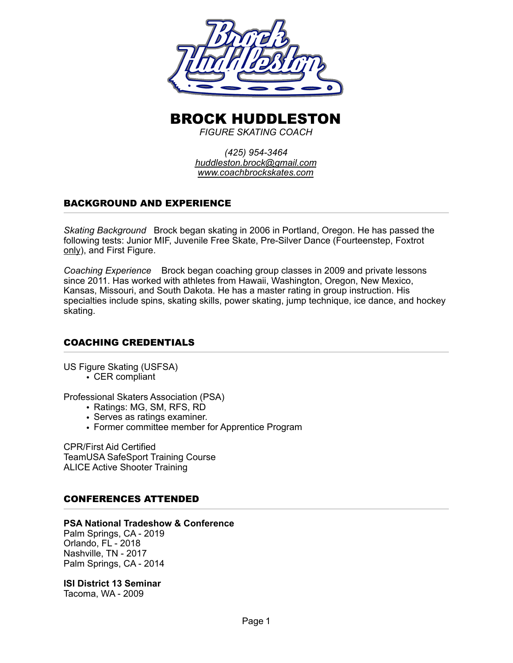

# BROCK HUDDLESTON

*FIGURE SKATING COACH* 

*(425) 954-3464 [huddleston.brock@gmail.com](mailto:huddleston.brock@gmail.com) [www.coachbrockskates.com](http://www.coachbrockskates.com)*

# BACKGROUND AND EXPERIENCE

*Skating Background* Brock began skating in 2006 in Portland, Oregon. He has passed the following tests: Junior MIF, Juvenile Free Skate, Pre-Silver Dance (Fourteenstep, Foxtrot only), and First Figure.

*Coaching Experience* Brock began coaching group classes in 2009 and private lessons since 2011. Has worked with athletes from Hawaii, Washington, Oregon, New Mexico, Kansas, Missouri, and South Dakota. He has a master rating in group instruction. His specialties include spins, skating skills, power skating, jump technique, ice dance, and hockey skating.

# COACHING CREDENTIALS

US Figure Skating (USFSA)

• CER compliant

Professional Skaters Association (PSA)

- Ratings: MG, SM, RFS, RD
- Serves as ratings examiner.
- Former committee member for Apprentice Program

CPR/First Aid Certified TeamUSA SafeSport Training Course ALICE Active Shooter Training

## CONFERENCES ATTENDED

#### **PSA National Tradeshow & Conference**

Palm Springs, CA - 2019 Orlando, FL - 2018 Nashville, TN - 2017 Palm Springs, CA - 2014

#### **ISI District 13 Seminar**

Tacoma, WA - 2009